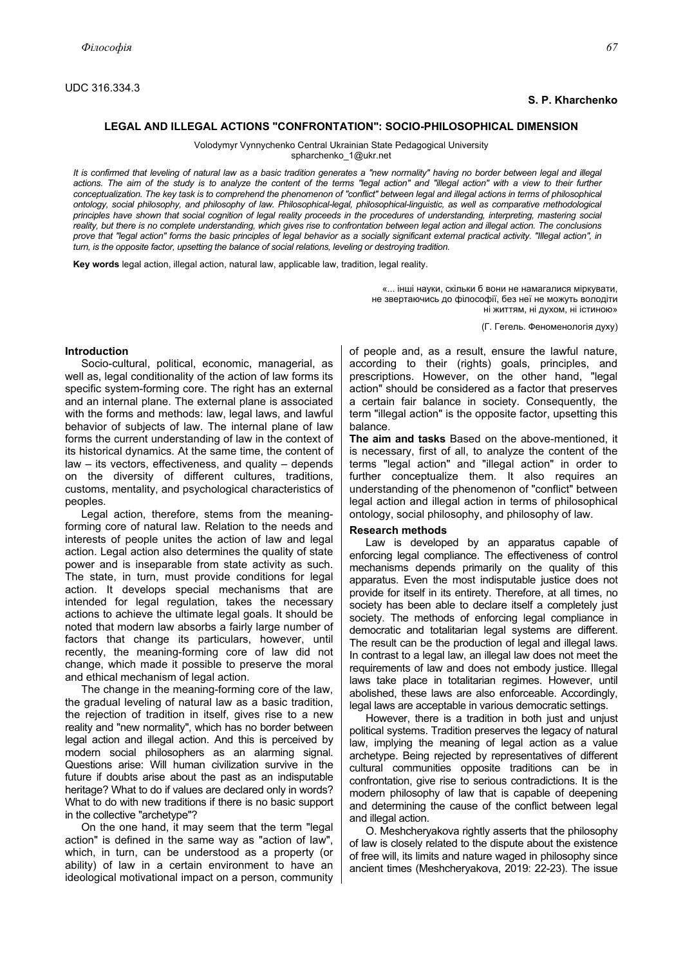## **S. P. Kharchenko**

# **LEGAL AND ILLEGAL ACTIONS "CONFRONTATION": SOCIO-PHILOSOPHICAL DIMENSION**

Volodymyr Vynnychenko Central Ukrainian State Pedagogical University spharchenko\_1@ukr.net

*It is confirmed that leveling of natural law as a basic tradition generates a "new normality" having no border between legal and illegal*  actions. The aim of the study is to analyze the content of the terms "legal action" and "illegal action" with a view to their further *conceptualization. The key task is to comprehend the phenomenon of "conflict" between legal and illegal actions in terms of philosophical ontology, social philosophy, and philosophy of law. Philosophical-legal, philosophical-linguistic, as well as comparative methodological principles have shown that social cognition of legal reality proceeds in the procedures of understanding, interpreting, mastering social reality, but there is no complete understanding, which gives rise to confrontation between legal action and illegal action. The conclusions prove that "legal action" forms the basic principles of legal behavior as a socially significant external practical activity. "Illegal action", in turn, is the opposite factor, upsetting the balance of social relations, leveling or destroying tradition.* 

**Key words** legal action, illegal action, natural law, applicable law, tradition, legal reality.

«... інші науки, скільки б вони не намагалися міркувати, не звертаючись до філософії, без неї не можуть володіти ні життям, ні духом, ні істиною»

(Г. Гегель. Феноменологія духу)

### **Introduction**

Socio-cultural, political, economic, managerial, as well as, legal conditionality of the action of law forms its specific system-forming core. The right has an external and an internal plane. The external plane is associated with the forms and methods: law, legal laws, and lawful behavior of subjects of law. The internal plane of law forms the current understanding of law in the context of its historical dynamics. At the same time, the content of law – its vectors, effectiveness, and quality – depends on the diversity of different cultures, traditions, customs, mentality, and psychological characteristics of peoples.

Legal action, therefore, stems from the meaningforming core of natural law. Relation to the needs and interests of people unites the action of law and legal action. Legal action also determines the quality of state power and is inseparable from state activity as such. The state, in turn, must provide conditions for legal action. It develops special mechanisms that are intended for legal regulation, takes the necessary actions to achieve the ultimate legal goals. It should be noted that modern law absorbs a fairly large number of factors that change its particulars, however, until recently, the meaning-forming core of law did not change, which made it possible to preserve the moral and ethical mechanism of legal action.

The change in the meaning-forming core of the law, the gradual leveling of natural law as a basic tradition, the rejection of tradition in itself, gives rise to a new reality and "new normality", which has no border between legal action and illegal action. And this is perceived by modern social philosophers as an alarming signal. Questions arise: Will human civilization survive in the future if doubts arise about the past as an indisputable heritage? What to do if values are declared only in words? What to do with new traditions if there is no basic support in the collective "archetype"?

On the one hand, it may seem that the term "legal action" is defined in the same way as "action of law", which, in turn, can be understood as a property (or ability) of law in a certain environment to have an ideological motivational impact on a person, community of people and, as a result, ensure the lawful nature, according to their (rights) goals, principles, and prescriptions. However, on the other hand, "legal action" should be considered as a factor that preserves a certain fair balance in society. Consequently, the term "illegal action" is the opposite factor, upsetting this balance.

**The aim and tasks** Based on the above-mentioned, it is necessary, first of all, to analyze the content of the terms "legal action" and "illegal action" in order to further conceptualize them. It also requires an understanding of the phenomenon of "conflict" between legal action and illegal action in terms of philosophical ontology, social philosophy, and philosophy of law.

### **Research methods**

Law is developed by an apparatus capable of enforcing legal compliance. The effectiveness of control mechanisms depends primarily on the quality of this apparatus. Even the most indisputable justice does not provide for itself in its entirety. Therefore, at all times, no society has been able to declare itself a completely just society. The methods of enforcing legal compliance in democratic and totalitarian legal systems are different. The result can be the production of legal and illegal laws. In contrast to a legal law, an illegal law does not meet the requirements of law and does not embody justice. Illegal laws take place in totalitarian regimes. However, until abolished, these laws are also enforceable. Accordingly, legal laws are acceptable in various democratic settings.

However, there is a tradition in both just and unjust political systems. Tradition preserves the legacy of natural law, implying the meaning of legal action as a value archetype. Being rejected by representatives of different cultural communities opposite traditions can be in confrontation, give rise to serious contradictions. It is the modern philosophy of law that is capable of deepening and determining the cause of the conflict between legal and illegal action.

O. Meshcheryakova rightly asserts that the philosophy of law is closely related to the dispute about the existence of free will, its limits and nature waged in philosophy since ancient times (Meshcheryakova, 2019: 22-23). The issue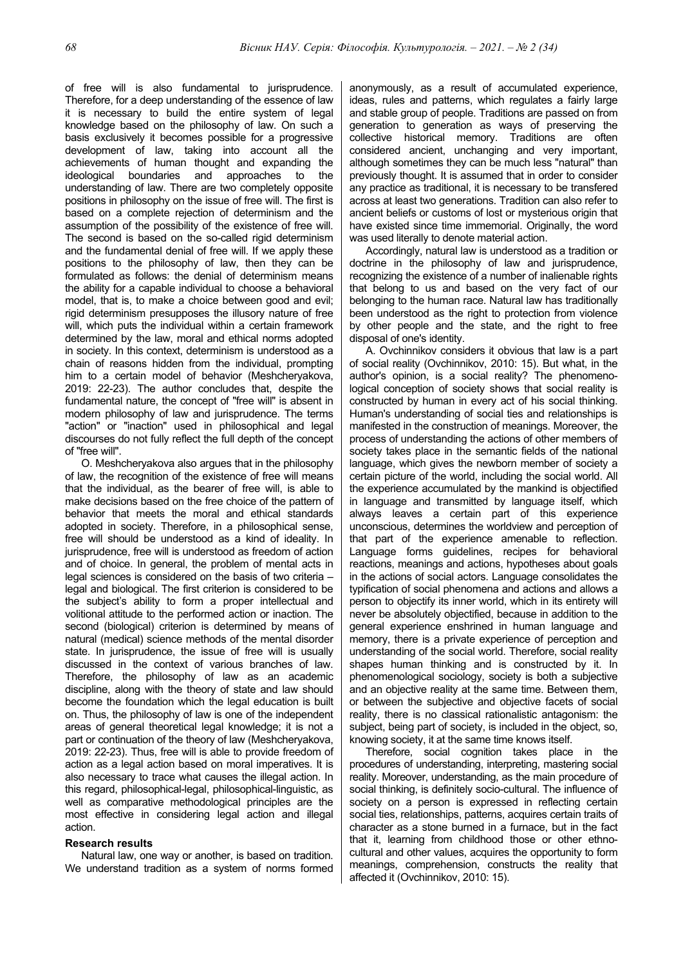of free will is also fundamental to jurisprudence. Therefore, for a deep understanding of the essence of law it is necessary to build the entire system of legal knowledge based on the philosophy of law. On such a basis exclusively it becomes possible for a progressive development of law, taking into account all the achievements of human thought and expanding the ideological boundaries and approaches to the understanding of law. There are two completely opposite positions in philosophy on the issue of free will. The first is based on a complete rejection of determinism and the assumption of the possibility of the existence of free will. The second is based on the so-called rigid determinism and the fundamental denial of free will. If we apply these positions to the philosophy of law, then they can be formulated as follows: the denial of determinism means the ability for a capable individual to choose a behavioral model, that is, to make a choice between good and evil; rigid determinism presupposes the illusory nature of free will, which puts the individual within a certain framework determined by the law, moral and ethical norms adopted in society. In this context, determinism is understood as a chain of reasons hidden from the individual, prompting him to a certain model of behavior (Meshcheryakova, 2019: 22-23). The author concludes that, despite the fundamental nature, the concept of "free will" is absent in modern philosophy of law and jurisprudence. The terms "action" or "inaction" used in philosophical and legal discourses do not fully reflect the full depth of the concept of "free will".

O. Meshcheryakova also argues that in the philosophy of law, the recognition of the existence of free will means that the individual, as the bearer of free will, is able to make decisions based on the free choice of the pattern of behavior that meets the moral and ethical standards adopted in society. Therefore, in a philosophical sense, free will should be understood as a kind of ideality. In jurisprudence, free will is understood as freedom of action and of choice. In general, the problem of mental acts in legal sciences is considered on the basis of two criteria – legal and biological. The first criterion is considered to be the subject's ability to form a proper intellectual and volitional attitude to the performed action or inaction. The second (biological) criterion is determined by means of natural (medical) science methods of the mental disorder state. In jurisprudence, the issue of free will is usually discussed in the context of various branches of law. Therefore, the philosophy of law as an academic discipline, along with the theory of state and law should become the foundation which the legal education is built on. Thus, the philosophy of law is one of the independent areas of general theoretical legal knowledge; it is not a part or continuation of the theory of law (Meshcheryakova, 2019: 22-23). Thus, free will is able to provide freedom of action as a legal action based on moral imperatives. It is also necessary to trace what causes the illegal action. In this regard, philosophical-legal, philosophical-linguistic, as well as comparative methodological principles are the most effective in considering legal action and illegal action.

## **Research results**

Natural law, one way or another, is based on tradition. We understand tradition as a system of norms formed anonymously, as a result of accumulated experience, ideas, rules and patterns, which regulates a fairly large and stable group of people. Traditions are passed on from generation to generation as ways of preserving the collective historical memory. Traditions are often considered ancient, unchanging and very important, although sometimes they can be much less "natural" than previously thought. It is assumed that in order to consider any practice as traditional, it is necessary to be transfered across at least two generations. Tradition can also refer to ancient beliefs or customs of lost or mysterious origin that have existed since time immemorial. Originally, the word was used literally to denote material action.

Accordingly, natural law is understood as a tradition or doctrine in the philosophy of law and jurisprudence, recognizing the existence of a number of inalienable rights that belong to us and based on the very fact of our belonging to the human race. Natural law has traditionally been understood as the right to protection from violence by other people and the state, and the right to free disposal of one's identity.

A. Ovchinnikov considers it obvious that law is a part of social reality (Ovchinnikov, 2010: 15). But what, in the author's opinion, is a social reality? The phenomenological conception of society shows that social reality is constructed by human in every act of his social thinking. Human's understanding of social ties and relationships is manifested in the construction of meanings. Moreover, the process of understanding the actions of other members of society takes place in the semantic fields of the national language, which gives the newborn member of society a certain picture of the world, including the social world. All the experience accumulated by the mankind is objectified in language and transmitted by language itself, which always leaves a certain part of this experience unconscious, determines the worldview and perception of that part of the experience amenable to reflection. Language forms guidelines, recipes for behavioral reactions, meanings and actions, hypotheses about goals in the actions of social actors. Language consolidates the typification of social phenomena and actions and allows a person to objectify its inner world, which in its entirety will never be absolutely objectified, because in addition to the general experience enshrined in human language and memory, there is a private experience of perception and understanding of the social world. Therefore, social reality shapes human thinking and is constructed by it. In phenomenological sociology, society is both a subjective and an objective reality at the same time. Between them, or between the subjective and objective facets of social reality, there is no classical rationalistic antagonism: the subject, being part of society, is included in the object, so, knowing society, it at the same time knows itself.

Therefore, social cognition takes place in the procedures of understanding, interpreting, mastering social reality. Moreover, understanding, as the main procedure of social thinking, is definitely socio-cultural. The influence of society on a person is expressed in reflecting certain social ties, relationships, patterns, acquires certain traits of character as a stone burned in a furnace, but in the fact that it, learning from childhood those or other ethnocultural and other values, acquires the opportunity to form meanings, comprehension, constructs the reality that affected it (Ovchinnikov, 2010: 15).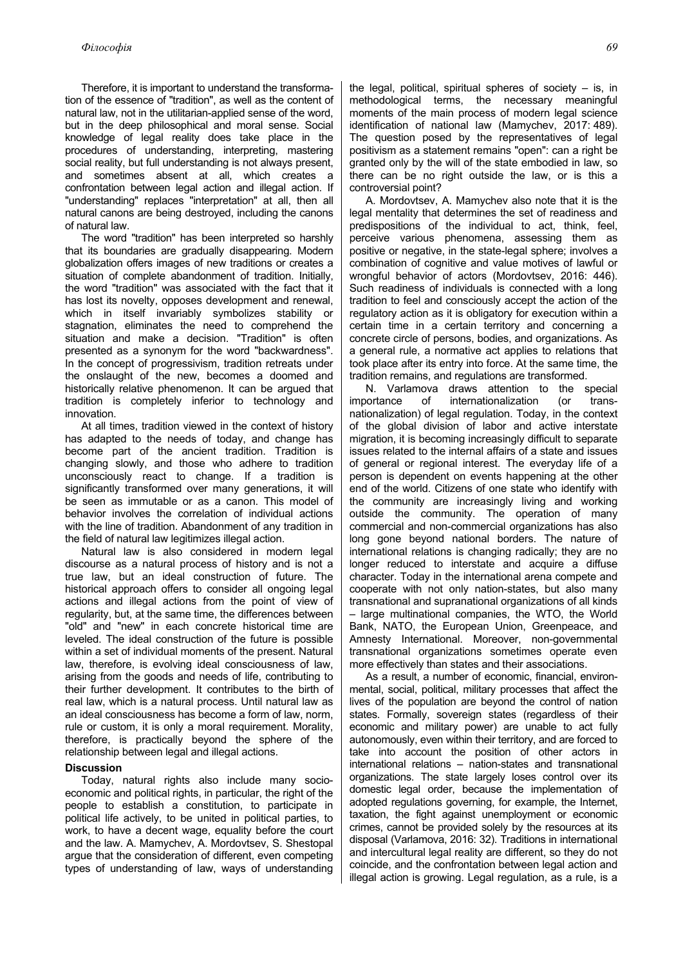Therefore, it is important to understand the transformation of the essence of "tradition", as well as the content of natural law, not in the utilitarian-applied sense of the word, but in the deep philosophical and moral sense. Social knowledge of legal reality does take place in the procedures of understanding, interpreting, mastering social reality, but full understanding is not always present, and sometimes absent at all, which creates a confrontation between legal action and illegal action. If "understanding" replaces "interpretation" at all, then all natural canons are being destroyed, including the canons of natural law.

The word "tradition" has been interpreted so harshly that its boundaries are gradually disappearing. Modern globalization offers images of new traditions or creates a situation of complete abandonment of tradition. Initially, the word "tradition" was associated with the fact that it has lost its novelty, opposes development and renewal, which in itself invariably symbolizes stability or stagnation, eliminates the need to comprehend the situation and make a decision. "Tradition" is often presented as a synonym for the word "backwardness". In the concept of progressivism, tradition retreats under the onslaught of the new, becomes a doomed and historically relative phenomenon. It can be argued that tradition is completely inferior to technology and innovation.

At all times, tradition viewed in the context of history has adapted to the needs of today, and change has become part of the ancient tradition. Tradition is changing slowly, and those who adhere to tradition unconsciously react to change. If a tradition is significantly transformed over many generations, it will be seen as immutable or as a canon. This model of behavior involves the correlation of individual actions with the line of tradition. Abandonment of any tradition in the field of natural law legitimizes illegal action.

Natural law is also considered in modern legal discourse as a natural process of history and is not a true law, but an ideal construction of future. The historical approach offers to consider all ongoing legal actions and illegal actions from the point of view of regularity, but, at the same time, the differences between "old" and "new" in each concrete historical time are leveled. The ideal construction of the future is possible within a set of individual moments of the present. Natural law, therefore, is evolving ideal consciousness of law, arising from the goods and needs of life, contributing to their further development. It contributes to the birth of real law, which is a natural process. Until natural law as an ideal consciousness has become a form of law, norm, rule or custom, it is only a moral requirement. Morality, therefore, is practically beyond the sphere of the relationship between legal and illegal actions.

## **Discussion**

Today, natural rights also include many socioeconomic and political rights, in particular, the right of the people to establish a constitution, to participate in political life actively, to be united in political parties, to work, to have a decent wage, equality before the court and the law. A. Mamychev, A. Mordovtsev, S. Shestopal argue that the consideration of different, even competing types of understanding of law, ways of understanding

the legal, political, spiritual spheres of society  $-$  is, in methodological terms, the necessary meaningful moments of the main process of modern legal science identification of national law (Mamychev, 2017: 489). The question posed by the representatives of legal positivism as a statement remains "open": can a right be granted only by the will of the state embodied in law, so there can be no right outside the law, or is this a controversial point?

A. Mordovtsev, A. Mamychev also note that it is the legal mentality that determines the set of readiness and predispositions of the individual to act, think, feel, perceive various phenomena, assessing them as positive or negative, in the state-legal sphere; involves a combination of cognitive and value motives of lawful or wrongful behavior of actors (Mordovtsev, 2016: 446). Such readiness of individuals is connected with a long tradition to feel and consciously accept the action of the regulatory action as it is obligatory for execution within a certain time in a certain territory and concerning a concrete circle of persons, bodies, and organizations. As a general rule, a normative act applies to relations that took place after its entry into force. At the same time, the tradition remains, and regulations are transformed.

N. Varlamova draws attention to the special importance of internationalization (or transnationalization) of legal regulation. Today, in the context of the global division of labor and active interstate migration, it is becoming increasingly difficult to separate issues related to the internal affairs of a state and issues of general or regional interest. The everyday life of a person is dependent on events happening at the other end of the world. Citizens of one state who identify with the community are increasingly living and working outside the community. The operation of many commercial and non-commercial organizations has also long gone beyond national borders. The nature of international relations is changing radically; they are no longer reduced to interstate and acquire a diffuse character. Today in the international arena compete and cooperate with not only nation-states, but also many transnational and supranational organizations of all kinds – large multinational companies, the WTO, the World Bank, NATO, the European Union, Greenpeace, and Amnesty International. Moreover, non-governmental transnational organizations sometimes operate even more effectively than states and their associations.

As a result, a number of economic, financial, environmental, social, political, military processes that affect the lives of the population are beyond the control of nation states. Formally, sovereign states (regardless of their economic and military power) are unable to act fully autonomously, even within their territory, and are forced to take into account the position of other actors in international relations – nation-states and transnational organizations. The state largely loses control over its domestic legal order, because the implementation of adopted regulations governing, for example, the Internet, taxation, the fight against unemployment or economic crimes, cannot be provided solely by the resources at its disposal (Varlamova, 2016: 32). Traditions in international and intercultural legal reality are different, so they do not coincide, and the confrontation between legal action and illegal action is growing. Legal regulation, as a rule, is a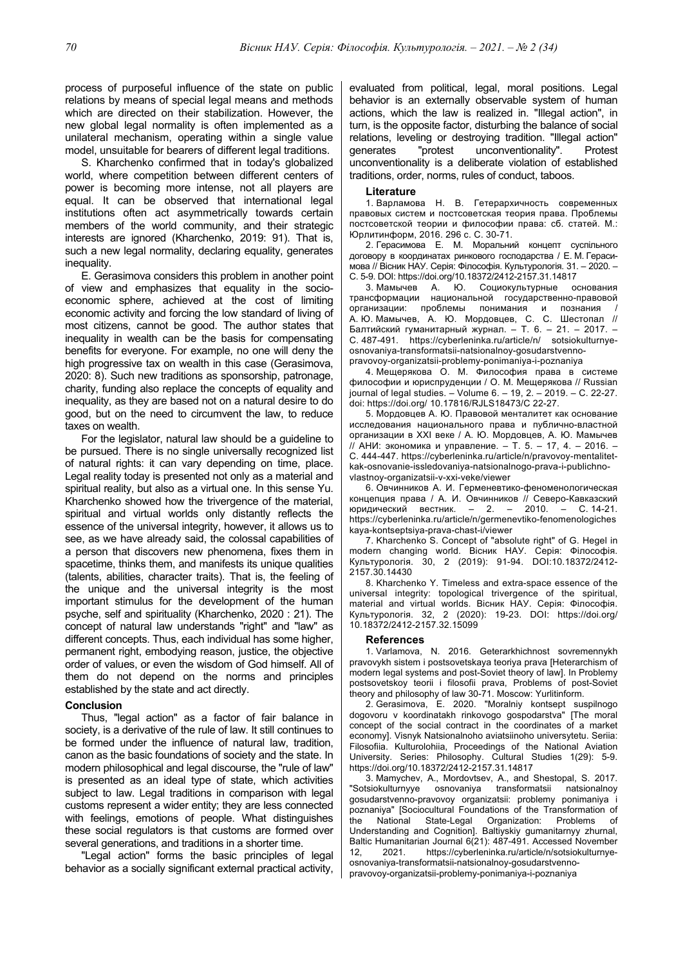process of purposeful influence of the state on public relations by means of special legal means and methods which are directed on their stabilization. However, the new global legal normality is often implemented as a unilateral mechanism, operating within a single value model, unsuitable for bearers of different legal traditions.

S. Kharchenko confirmed that in today's globalized world, where competition between different centers of power is becoming more intense, not all players are equal. It can be observed that international legal institutions often act asymmetrically towards certain members of the world community, and their strategic interests are ignored (Kharchenko, 2019: 91). That is, such a new legal normality, declaring equality, generates inequality.

E. Gerasimova considers this problem in another point of view and emphasizes that equality in the socioeconomic sphere, achieved at the cost of limiting economic activity and forcing the low standard of living of most citizens, cannot be good. The author states that inequality in wealth can be the basis for compensating benefits for everyone. For example, no one will deny the high progressive tax on wealth in this case (Gerasimova, 2020: 8). Such new traditions as sponsorship, patronage, charity, funding also replace the concepts of equality and inequality, as they are based not on a natural desire to do good, but on the need to circumvent the law, to reduce taxes on wealth.

For the legislator, natural law should be a guideline to be pursued. There is no single universally recognized list of natural rights: it can vary depending on time, place. Legal reality today is presented not only as a material and spiritual reality, but also as a virtual one. In this sense Yu. Kharchenko showed how the trivergence of the material, spiritual and virtual worlds only distantly reflects the essence of the universal integrity, however, it allows us to see, as we have already said, the colossal capabilities of a person that discovers new phenomena, fixes them in spacetime, thinks them, and manifests its unique qualities (talents, abilities, character traits). That is, the feeling of the unique and the universal integrity is the most important stimulus for the development of the human psyche, self and spirituality (Kharchenko, 2020 : 21). The concept of natural law understands "right" and "law" as different concepts. Thus, each individual has some higher, permanent right, embodying reason, justice, the objective order of values, or even the wisdom of God himself. All of them do not depend on the norms and principles established by the state and act directly.

### **Conclusion**

Thus, "legal action" as a factor of fair balance in society, is a derivative of the rule of law. It still continues to be formed under the influence of natural law, tradition, canon as the basic foundations of society and the state. In modern philosophical and legal discourse, the "rule of law" is presented as an ideal type of state, which activities subject to law. Legal traditions in comparison with legal customs represent a wider entity; they are less connected with feelings, emotions of people. What distinguishes these social regulators is that customs are formed over several generations, and traditions in a shorter time.

"Legal action" forms the basic principles of legal behavior as a socially significant external practical activity,

evaluated from political, legal, moral positions. Legal behavior is an externally observable system of human actions, which the law is realized in. "Illegal action", in turn, is the opposite factor, disturbing the balance of social relations, leveling or destroying tradition. "Illegal action" generates "protest unconventionality". Protest unconventionality is a deliberate violation of established traditions, order, norms, rules of conduct, taboos.

#### **Literature**

1. Варламова Н. В. Гетерархичность современных правовых систем и постсоветская теория права. Проблемы постсоветской теории и философии права: сб. статей. М.: Юрлитинформ, 2016. 296 с. С. 30-71.

2. Герасимова Е. М. Моральний концепт суспільного договору в координатах ринкового господарства / Е. М. Герасимова // Вісник НАУ. Серія: Філософія. Культурологія. 31. – 2020. –

С. 5-9. DOI: https://doi.org/10.18372/2412-2157.31.14817 3. Мамычев А. Ю. Социокультурные основания трансформации национальной государственно-правовой организации: проблемы понимания и познания / А. Ю. Мамычев, А. Ю. Мордовцев, С. С. Шестопал // Балтийский гуманитарный журнал. – Т. 6. – 21. – 2017. – С. 487-491. https://cyberleninka.ru/article/n/ sotsiokulturnyeosnovaniya-transformatsii-natsionalnoy-gosudarstvennopravovoy-organizatsii-problemy-ponimaniya-i-poznaniya

4. Мещерякова О. М. Философия права в системе философии и юриспруденции / О. М. Мещерякова // Russian journal of legal studies. – Volume 6. – 19, 2. – 2019. – С. 22-27. doi: https://doi.org/ 10.17816/RJLS18473/С 22-27.

5. Мордовцев А. Ю. Правовой менталитет как основание исследования национального права и публично-властной организации в XXI веке / А. Ю. Мордовцев, А. Ю. Мамычев // АНИ: экономика и управление. – Т. 5. – 17, 4. – 2016. – С. 444-447. https://cyberleninka.ru/article/n/pravovoy-mentalitetkak-osnovanie-issledovaniya-natsionalnogo-prava-i-publichnovlastnoy-organizatsii-v-xxi-veke/viewer

6. Овчинников А. И. Герменевтико-феноменологическая концепция права / А. И. Овчинников // Северо-Кавказский<br>юридический вестник. — 2. — 2010. — С. 14-21. юридический вестник. https://cyberleninka.ru/article/n/germenevtiko-fenomenologiches kaya-kontseptsiya-prava-chast-i/viewer

7. Kharchenko S. Concept of "absolute right" of G. Hegel in modern changing world. Вісник НАУ. Серія: Філософія. Культурологія. 30, 2 (2019): 91-94. DOI:10.18372/2412- 2157.30.14430

8. Kharchenko Y. Timeless and extra-space essence of the universal integrity: topological trivergence of the spiritual, material and virtual worlds. Вісник НАУ. Серія: Філософія. Культурологія. 32, 2 (2020): 19-23. DOI: https://doi.org/ 10.18372/2412-2157.32.15099

#### **References**

1. Varlamova, N. 2016. Geterarkhichnost sovremennykh pravovykh sistem i postsovetskaya teoriya prava [Heterarchism of modern legal systems and post-Soviet theory of law]. In Problemy postsovetskoy teorii i filosofii prava, Problems of post-Soviet theory and philosophy of law 30-71. Moscow: Yurlitinform.

2. Gerasimova, E. 2020. "Moralniy kontsept suspіlnogo dogovoru v koordinatakh rinkovogo gospodarstva" [The moral concept of the social contract in the coordinates of a market economy]. Visnyk Natsionalnoho aviatsiinoho universytetu. Seriia: Filosofiia. Kulturolohiia, Proceedings of the National Aviation University. Series: Philosophy. Cultural Studies 1(29): 5-9. https://doi.org/10.18372/2412-2157.31.14817

3. Mamychev, A., Mordovtsev, A., and Shestopal, S. 2017. "Sotsiokulturnyye osnovaniya transformatsii natsionalnoy gosudarstvenno-pravovoy organizatsii: problemy ponimaniya i poznaniya" [Sociocultural Foundations of the Transformation of the National State-Legal Organization: Problems of Understanding and Cognition]. Baltiyskiy gumanitarnyy zhurnal, Baltic Humanitarian Journal 6(21): 487-491. Accessed November 12, 2021. https://cyberleninka.ru/article/n/sotsiokulturnyeosnovaniya-transformatsii-natsionalnoy-gosudarstvennopravovoy-organizatsii-problemy-ponimaniya-i-poznaniya